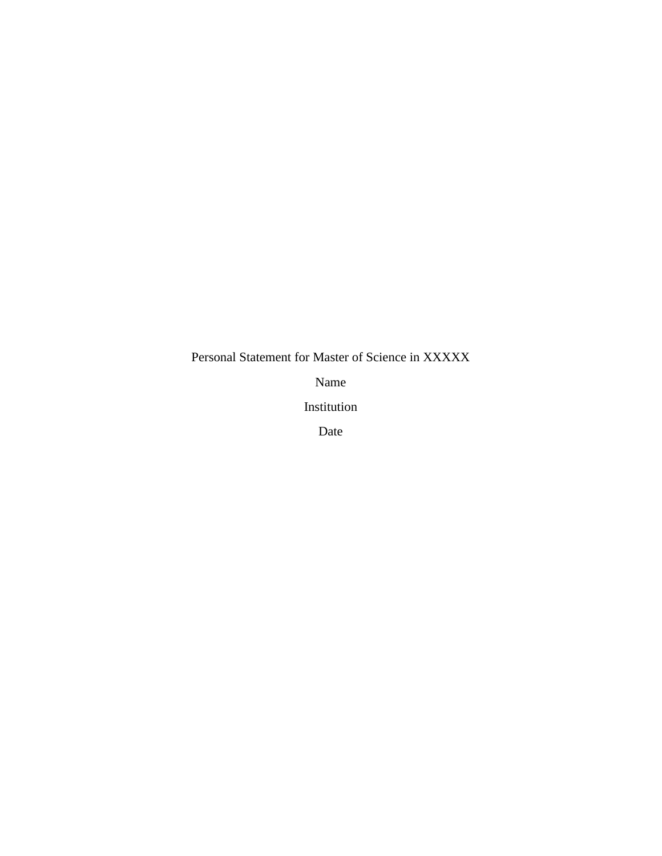Personal Statement for Master of Science in XXXXX

Name

Institution

Date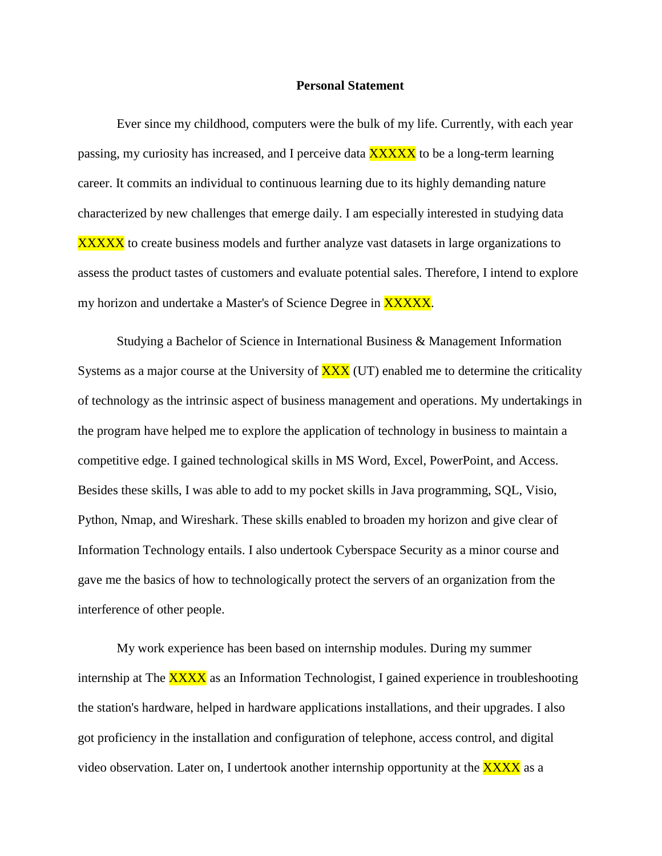## **Personal Statement**

Ever since my childhood, computers were the bulk of my life. Currently, with each year passing, my curiosity has increased, and I perceive data **XXXXX** to be a long-term learning career. It commits an individual to continuous learning due to its highly demanding nature characterized by new challenges that emerge daily. I am especially interested in studying data XXXXX to create business models and further analyze vast datasets in large organizations to assess the product tastes of customers and evaluate potential sales. Therefore, I intend to explore my horizon and undertake a Master's of Science Degree in **XXXXX**.

Studying a Bachelor of Science in International Business & Management Information Systems as a major course at the University of  $\overline{XXX}$  (UT) enabled me to determine the criticality of technology as the intrinsic aspect of business management and operations. My undertakings in the program have helped me to explore the application of technology in business to maintain a competitive edge. I gained technological skills in MS Word, Excel, PowerPoint, and Access. Besides these skills, I was able to add to my pocket skills in Java programming, SQL, Visio, Python, Nmap, and Wireshark. These skills enabled to broaden my horizon and give clear of Information Technology entails. I also undertook Cyberspace Security as a minor course and gave me the basics of how to technologically protect the servers of an organization from the interference of other people.

My work experience has been based on internship modules. During my summer internship at The **XXXX** as an Information Technologist, I gained experience in troubleshooting the station's hardware, helped in hardware applications installations, and their upgrades. I also got proficiency in the installation and configuration of telephone, access control, and digital video observation. Later on, I undertook another internship opportunity at the  $\overline{XXX}$  as a